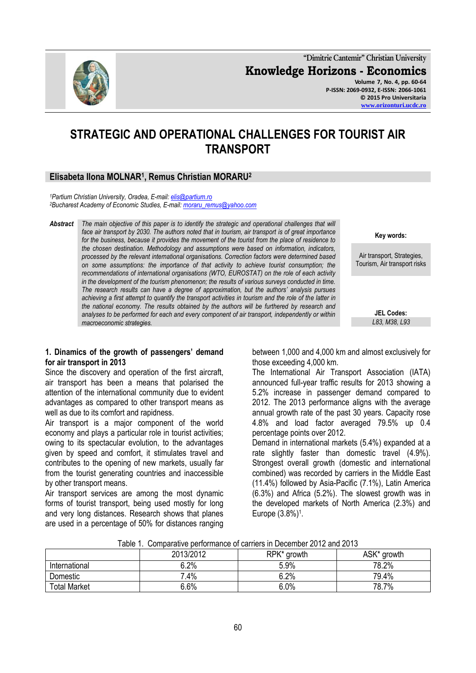**"Dimitrie Cantemir" Christian University Knowledge Horizons - Economics Volume 7, No. 4, pp. 60-64 P-ISSN: 2069-0932, E-ISSN: 2066-1061 © 2015 Pro Universitaria [www.orizonturi.ucdc.ro](http://www.orizonturi.ucdc.ro/)**

# **STRATEGIC AND OPERATIONAL CHALLENGES FOR TOURIST AIR TRANSPORT**

# **Elisabeta Ilona MOLNAR<sup>1</sup> , Remus Christian MORARU<sup>2</sup>**

*<sup>1</sup>Partium Christian University, Oradea, E-mail[: elis@partium.ro](mailto:elis@partium.ro) <sup>2</sup>Bucharest Academy of Economic Studies, E-mail[: moraru\\_remus@yahoo.com](mailto:moraru_remus@yahoo.com)*

*Abstract The main objective of this paper is to identify the strategic and operational challenges that will face air transport by 2030. The authors noted that in tourism, air transport is of great importance for the business, because it provides the movement of the tourist from the place of residence to the chosen destination. Methodology and assumptions were based on information, indicators, processed by the relevant international organisations. Correction factors were determined based on some assumptions: the importance of that activity to achieve tourist consumption; the recommendations of international organisations (WTO, EUROSTAT) on the role of each activity in the development of the tourism phenomenon; the results of various surveys conducted in time. The research results can have a degree of approximation, but the authors' analysis pursues achieving a first attempt to quantify the transport activities in tourism and the role of the latter in the national economy. The results obtained by the authors will be furthered by research and analyses to be performed for each and every component of air transport, independently or within macroeconomic strategies.*

#### **1. Dinamics of the growth of passengers' demand for air transport in 2013**

Since the discovery and operation of the first aircraft, air transport has been a means that polarised the attention of the international community due to evident advantages as compared to other transport means as well as due to its comfort and rapidness.

Air transport is a major component of the world economy and plays a particular role in tourist activities; owing to its spectacular evolution, to the advantages given by speed and comfort, it stimulates travel and contributes to the opening of new markets, usually far from the tourist generating countries and inaccessible by other transport means.

Air transport services are among the most dynamic forms of tourist transport, being used mostly for long and very long distances. Research shows that planes are used in a percentage of 50% for distances ranging between 1,000 and 4,000 km and almost exclusively for those exceeding 4,000 km.

The International Air Transport Association (IATA) announced full-year traffic results for 2013 showing a 5.2% increase in passenger demand compared to 2012. The 2013 performance aligns with the average annual growth rate of the past 30 years. Capacity rose 4.8% and load factor averaged 79.5% up 0.4 percentage points over 2012.

Demand in international markets (5.4%) expanded at a rate slightly faster than domestic travel (4.9%). Strongest overall growth (domestic and international combined) was recorded by carriers in the Middle East (11.4%) followed by Asia-Pacific (7.1%), Latin America (6.3%) and Africa (5.2%). The slowest growth was in the developed markets of North America (2.3%) and Europe (3.8%)<sup>1</sup>.

| rapic T. Oomparative performance or camero in December 2012 and 2010 |           |             |             |  |
|----------------------------------------------------------------------|-----------|-------------|-------------|--|
|                                                                      | 2013/2012 | RPK* growth | ASK* growth |  |
| International                                                        | 6.2%      | 5.9%        | 78.2%       |  |
| Domestic                                                             | .4%       | 6.2%        | 79.4%       |  |
| <b>Total Market</b>                                                  | 6.6%      | 6.0%        | 78.7%       |  |

Table 1. Comparative performance of carriers in December 2012 and 2013



**Key words:**

Air transport, Strategies, Tourism, Air transport risks

> **JEL Codes:** *L83, M38, L93*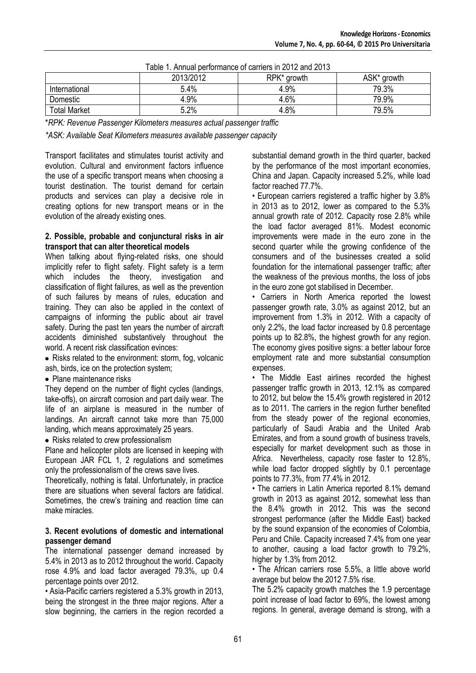| Table T. Annual berformance of carriers in 2012 and 2013 |           |             |             |  |
|----------------------------------------------------------|-----------|-------------|-------------|--|
|                                                          | 2013/2012 | RPK* growth | ASK* growth |  |
| International                                            | 5.4%      | 4.9%        | 79.3%       |  |
| Domestic                                                 | 4.9%      | 4.6%        | 79.9%       |  |
| <b>Total Market</b>                                      | 5.2%      | 4.8%        | 79.5%       |  |

Table 1. Annual performance of carriers in 2012 and 2013

\**RPK: Revenue Passenger Kilometers measures actual passenger traffic*

*\*ASK: Available Seat Kilometers measures available passenger capacity*

Transport facilitates and stimulates tourist activity and evolution. Cultural and environment factors influence the use of a specific transport means when choosing a tourist destination. The tourist demand for certain products and services can play a decisive role in creating options for new transport means or in the evolution of the already existing ones.

#### **2. Possible, probable and conjunctural risks in air transport that can alter theoretical models**

When talking about flying-related risks, one should implicitly refer to flight safety. Flight safety is a term which includes the theory, investigation and classification of flight failures, as well as the prevention of such failures by means of rules, education and training. They can also be applied in the context of campaigns of informing the public about air travel safety. During the past ten years the number of aircraft accidents diminished substantively throughout the world. A recent risk classification evinces:

• Risks related to the environment: storm, fog, volcanic ash, birds, ice on the protection system;

• Plane maintenance risks

They depend on the number of flight cycles (landings, take-offs), on aircraft corrosion and part daily wear. The life of an airplane is measured in the number of landings. An aircraft cannot take more than 75,000 landing, which means approximately 25 years.

• Risks related to crew professionalism

Plane and helicopter pilots are licensed in keeping with European JAR FCL 1, 2 regulations and sometimes only the professionalism of the crews save lives.

Theoretically, nothing is fatal. Unfortunately, in practice there are situations when several factors are fatidical. Sometimes, the crew's training and reaction time can make miracles.

#### **3. Recent evolutions of domestic and international passenger demand**

The international passenger demand increased by 5.4% in 2013 as to 2012 throughout the world. Capacity rose 4.9% and load factor averaged 79.3%, up 0.4 percentage points over 2012.

• Asia-Pacific carriers registered a 5.3% growth in 2013, being the strongest in the three major regions. After a slow beginning, the carriers in the region recorded a substantial demand growth in the third quarter, backed by the performance of the most important economies, China and Japan. Capacity increased 5.2%, while load factor reached 77.7%.

• European carriers registered a traffic higher by 3.8% in 2013 as to 2012, lower as compared to the 5.3% annual growth rate of 2012. Capacity rose 2.8% while the load factor averaged 81%. Modest economic improvements were made in the euro zone in the second quarter while the growing confidence of the consumers and of the businesses created a solid foundation for the international passenger traffic; after the weakness of the previous months, the loss of jobs in the euro zone got stabilised in December.

• Carriers in North America reported the lowest passenger growth rate, 3.0% as against 2012, but an improvement from 1.3% in 2012. With a capacity of only 2.2%, the load factor increased by 0.8 percentage points up to 82.8%, the highest growth for any region. The economy gives positive signs: a better labour force employment rate and more substantial consumption expenses.

• The Middle East airlines recorded the highest passenger traffic growth in 2013, 12.1% as compared to 2012, but below the 15.4% growth registered in 2012 as to 2011. The carriers in the region further benefited from the steady power of the regional economies, particularly of Saudi Arabia and the United Arab Emirates, and from a sound growth of business travels, especially for market development such as those in Africa. Nevertheless, capacity rose faster to 12.8%, while load factor dropped slightly by 0.1 percentage points to 77.3%, from 77.4% in 2012.

• The carriers in Latin America reported 8.1% demand growth in 2013 as against 2012, somewhat less than the 8.4% growth in 2012. This was the second strongest performance (after the Middle East) backed by the sound expansion of the economies of Colombia, Peru and Chile. Capacity increased 7.4% from one year to another, causing a load factor growth to 79.2%, higher by 1.3% from 2012.

• The African carriers rose 5.5%, a little above world average but below the 2012 7.5% rise.

The 5.2% capacity growth matches the 1.9 percentage point increase of load factor to 69%, the lowest among regions. In general, average demand is strong, with a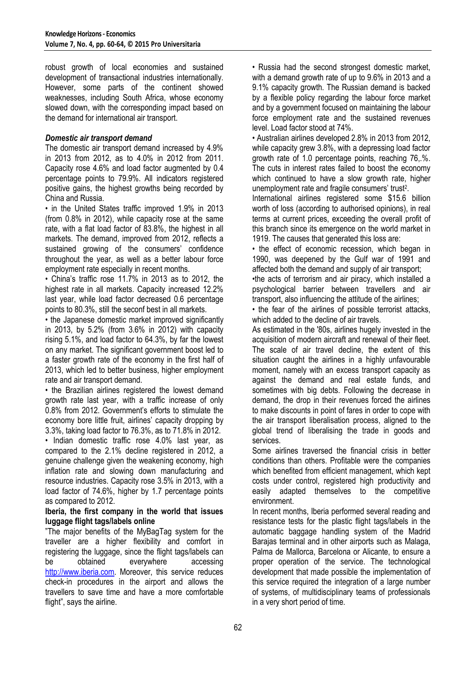robust growth of local economies and sustained development of transactional industries internationally. However, some parts of the continent showed weaknesses, including South Africa, whose economy slowed down, with the corresponding impact based on the demand for international air transport.

### *Domestic air transport demand*

The domestic air transport demand increased by 4.9% in 2013 from 2012, as to 4.0% in 2012 from 2011. Capacity rose 4.6% and load factor augmented by 0.4 percentage points to 79.9%. All indicators registered positive gains, the highest growths being recorded by China and Russia.

• in the United States traffic improved 1.9% in 2013 (from 0.8% in 2012), while capacity rose at the same rate, with a flat load factor of 83.8%, the highest in all markets. The demand, improved from 2012, reflects a sustained growing of the consumers' confidence throughout the year, as well as a better labour force employment rate especially in recent months.

• China's traffic rose 11.7% in 2013 as to 2012, the highest rate in all markets. Capacity increased 12.2% last year, while load factor decreased 0.6 percentage points to 80.3%, still the seconf best in all markets.

• the Japanese domestic market improved significantly in 2013, by 5.2% (from 3.6% in 2012) with capacity rising 5.1%, and load factor to 64.3%, by far the lowest on any market. The significant government boost led to a faster growth rate of the economy in the first half of 2013, which led to better business, higher employment rate and air transport demand.

• the Brazilian airlines registered the lowest demand growth rate last year, with a traffic increase of only 0.8% from 2012. Government's efforts to stimulate the economy bore little fruit, airlines' capacity dropping by 3.3%, taking load factor to 76.3%, as to 71.8% in 2012.

• Indian domestic traffic rose 4.0% last year, as compared to the 2.1% decline registered in 2012, a genuine challenge given the weakening economy, high inflation rate and slowing down manufacturing and resource industries. Capacity rose 3.5% in 2013, with a load factor of 74.6%, higher by 1.7 percentage points as compared to 2012.

#### **Iberia, the first company in the world that issues luggage flight tags/labels online**

"The major benefits of the MyBagTag system for the traveller are a higher flexibility and comfort in registering the luggage, since the flight tags/labels can be obtained everywhere accessing [http://www.iberia.com.](http://www.iberia.com/) Moreover, this service reduces check-in procedures in the airport and allows the travellers to save time and have a more comfortable flight", says the airline.

• Russia had the second strongest domestic market. with a demand growth rate of up to 9.6% in 2013 and a 9.1% capacity growth. The Russian demand is backed by a flexible policy regarding the labour force market and by a government focused on maintaining the labour force employment rate and the sustained revenues level. Load factor stood at 74%.

• Australian airlines developed 2.8% in 2013 from 2012, while capacity grew 3.8%, with a depressing load factor growth rate of 1.0 percentage points, reaching 76,.%. The cuts in interest rates failed to boost the economy which continued to have a slow growth rate, higher unemployment rate and fragile consumers' trust<sup>2</sup>.

International airlines registered some \$15.6 billion worth of loss (according to authorised opinions), in real terms at current prices, exceeding the overall profit of this branch since its emergence on the world market in 1919. The causes that generated this loss are:

• the effect of economic recession, which began in 1990, was deepened by the Gulf war of 1991 and affected both the demand and supply of air transport;

•the acts of terrorism and air piracy, which installed a psychological barrier between travellers and air transport, also influencing the attitude of the airlines;

• the fear of the airlines of possible terrorist attacks, which added to the decline of air travels.

As estimated in the '80s, airlines hugely invested in the acquisition of modern aircraft and renewal of their fleet. The scale of air travel decline, the extent of this situation caught the airlines in a highly unfavourable moment, namely with an excess transport capacity as against the demand and real estate funds, and sometimes with big debts. Following the decrease in demand, the drop in their revenues forced the airlines to make discounts in point of fares in order to cope with the air transport liberalisation process, aligned to the global trend of liberalising the trade in goods and services.

Some airlines traversed the financial crisis in better conditions than others. Profitable were the companies which benefited from efficient management, which kept costs under control, registered high productivity and easily adapted themselves to the competitive environment.

In recent months, Iberia performed several reading and resistance tests for the plastic flight tags/labels in the automatic baggage handling system of the Madrid Barajas terminal and in other airports such as Malaga, Palma de Mallorca, Barcelona or Alicante, to ensure a proper operation of the service. The technological development that made possible the implementation of this service required the integration of a large number of systems, of multidisciplinary teams of professionals in a very short period of time.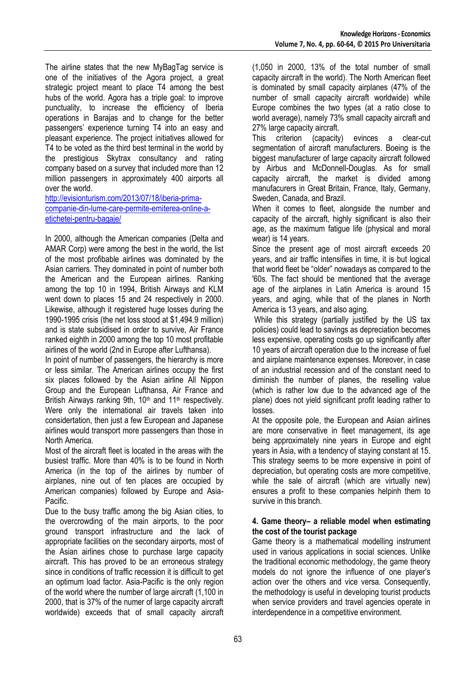The airline states that the new MyBagTag service is one of the initiatives of the Agora project, a great strategic project meant to place T4 among the best hubs of the world. Agora has a triple goal: to improve punctuality, to increase the efficiency of Iberia operations in Barajas and to change for the better passengers' experience turning T4 into an easy and pleasant experience. The project initiatives allowed for T4 to be voted as the third best terminal in the world by the prestigious Skytrax consultancy and rating company based on a survey that included more than 12 million passengers in approximately 400 airports all over the world.

[http://evisionturism.com/2013/07/18/iberia-prima](http://evisionturism.com/2013/07/18/iberia-prima-companie-din-lume-care-permite-emiterea-online-a-etichetei-pentru-bagaje/)[companie-din-lume-care-permite-emiterea-online-a](http://evisionturism.com/2013/07/18/iberia-prima-companie-din-lume-care-permite-emiterea-online-a-etichetei-pentru-bagaje/)[etichetei-pentru-bagaje/](http://evisionturism.com/2013/07/18/iberia-prima-companie-din-lume-care-permite-emiterea-online-a-etichetei-pentru-bagaje/)

In 2000, although the American companies (Delta and AMAR Corp) were among the best in the world, the list of the most profibable airlines was dominated by the Asian carriers. They dominated in point of number both the American and the European airlines. Ranking among the top 10 in 1994, British Airways and KLM went down to places 15 and 24 respectively in 2000. Likewise, although it registered huge losses during the 1990-1995 crisis (the net loss stood at \$1,494.9 million) and is state subsidised in order to survive, Air France ranked eighth in 2000 among the top 10 most profitable airlines of the world (2nd in Europe after Lufthansa).

In point of number of passengers, the hierarchy is more or less similar. The American airlines occupy the first six places followed by the Asian airline All Nippon Group and the European Lufthansa, Air France and British Airways ranking 9th, 10<sup>th</sup> and 11<sup>th</sup> respectively. Were only the international air travels taken into considertation, then just a few European and Japanese airlines would transport more passengers than those in North America.

Most of the aircraft fleet is located in the areas with the busiest traffic. More than 40% is to be found in North America (in the top of the airlines by number of airplanes, nine out of ten places are occupied by American companies) followed by Europe and Asia-Pacific.

Due to the busy traffic among the big Asian cities, to the overcrowding of the main airports, to the poor ground transport infrastructure and the lack of appropriate facilities on the secondary airports, most of the Asian airlines chose to purchase large capacity aircraft. This has proved to be an erroneous strategy since in conditions of traffic recession it is difficult to get an optimum load factor. Asia-Pacific is the only region of the world where the number of large aircraft (1,100 in 2000, that is 37% of the numer of large capacity aircraft worldwide) exceeds that of small capacity aircraft (1,050 in 2000, 13% of the total number of small capacity aircraft in the world). The North American fleet is dominated by small capacity airplanes (47% of the number of small capacity aircraft worldwide) while Europe combines the two types (at a ratio close to world average), namely 73% small capacity aircraft and 27% large capacity aircraft.<br>This criterion (capacity

(capacity) evinces a clear-cut segmentation of aircraft manufacturers. Boeing is the biggest manufacturer of large capacity aircraft followed by Airbus and McDonnell-Douglas. As for small capacity aircraft, the market is divided among manufacurers in Great Britain, France, Italy, Germany, Sweden, Canada, and Brazil.

When it comes to fleet, alongside the number and capacity of the aircraft, highly significant is also their age, as the maximum fatigue life (physical and moral wear) is 14 years.

Since the present age of most aircraft exceeds 20 years, and air traffic intensifies in time, it is but logical that world fleet be "older" nowadays as compared to the '60s. The fact should be mentioned that the average age of the airplanes in Latin America is around 15 years, and aging, while that of the planes in North America is 13 years, and also aging.

While this strategy (partially justified by the US tax policies) could lead to savings as depreciation becomes less expensive, operating costs go up significantly after 10 years of aircraft operation due to the increase of fuel and airplane maintenance expenses. Moreover, in case of an industrial recession and of the constant need to diminish the number of planes, the reselling value (which is rather low due to the advanced age of the plane) does not yield significant profit leading rather to losses.

At the opposite pole, the European and Asian airlines are more conservative in fleet management, its age being approximately nine years in Europe and eight years in Asia, with a tendency of staying constant at 15. This strategy seems to be more expensive in point of depreciation, but operating costs are more competitive, while the sale of aircraft (which are virtually new) ensures a profit to these companies helpinh them to survive in this branch.

## **4. Game theory– a reliable model when estimating the cost of the tourist package**

Game theory is a mathematical modelling instrument used in various applications in social sciences. Unlike the traditional economic methodology, the game theory models do not ignore the influence of one player's action over the others and vice versa. Consequently, the methodology is useful in developing tourist products when service providers and travel agencies operate in interdependence in a competitive environment.